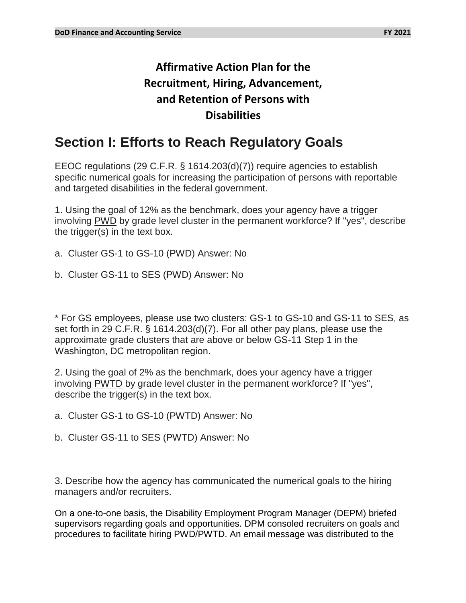## **Affirmative Action Plan for the Recruitment, Hiring, Advancement, and Retention of Persons with Disabilities**

# **Section I: Efforts to Reach Regulatory Goals**

EEOC regulations (29 C.F.R. § 1614.203(d)(7)) require agencies to establish specific numerical goals for increasing the participation of persons with reportable and targeted disabilities in the federal government.

1. Using the goal of 12% as the benchmark, does your agency have a trigger involving PWD by grade level cluster in the permanent workforce? If "yes", describe the trigger(s) in the text box.

- a. Cluster GS-1 to GS-10 (PWD) Answer: No
- b. Cluster GS-11 to SES (PWD) Answer: No

\* For GS employees, please use two clusters: GS-1 to GS-10 and GS-11 to SES, as set forth in 29 C.F.R. § 1614.203(d)(7). For all other pay plans, please use the approximate grade clusters that are above or below GS-11 Step 1 in the Washington, DC metropolitan region.

2. Using the goal of 2% as the benchmark, does your agency have a trigger involving PWTD by grade level cluster in the permanent workforce? If "yes", describe the trigger(s) in the text box.

- a. Cluster GS-1 to GS-10 (PWTD) Answer: No
- b. Cluster GS-11 to SES (PWTD) Answer: No

3. Describe how the agency has communicated the numerical goals to the hiring managers and/or recruiters.

On a one-to-one basis, the Disability Employment Program Manager (DEPM) briefed supervisors regarding goals and opportunities. DPM consoled recruiters on goals and procedures to facilitate hiring PWD/PWTD. An email message was distributed to the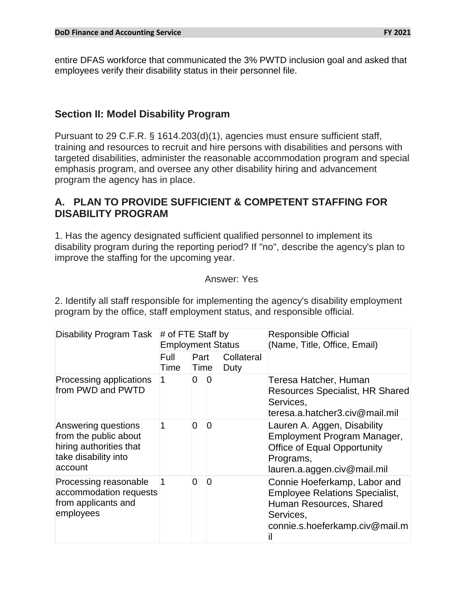entire DFAS workforce that communicated the 3% PWTD inclusion goal and asked that employees verify their disability status in their personnel file.

### **Section II: Model Disability Program**

Pursuant to 29 C.F.R. § 1614.203(d)(1), agencies must ensure sufficient staff, training and resources to recruit and hire persons with disabilities and persons with targeted disabilities, administer the reasonable accommodation program and special emphasis program, and oversee any other disability hiring and advancement program the agency has in place.

## **A. PLAN TO PROVIDE SUFFICIENT & COMPETENT STAFFING FOR DISABILITY PROGRAM**

1. Has the agency designated sufficient qualified personnel to implement its disability program during the reporting period? If "no", describe the agency's plan to improve the staffing for the upcoming year.

#### Answer: Yes

2. Identify all staff responsible for implementing the agency's disability employment program by the office, staff employment status, and responsible official.

| Disability Program Task                                                                                    | # of FTE Staff by<br><b>Employment Status</b> |              |                |                    | <b>Responsible Official</b><br>(Name, Title, Office, Email)                                                                                           |  |
|------------------------------------------------------------------------------------------------------------|-----------------------------------------------|--------------|----------------|--------------------|-------------------------------------------------------------------------------------------------------------------------------------------------------|--|
|                                                                                                            | Full<br>Time                                  | Part<br>Time |                | Collateral<br>Duty |                                                                                                                                                       |  |
| Processing applications<br>from PWD and PWTD                                                               | 1                                             | $\Omega$     | $\overline{0}$ |                    | Teresa Hatcher, Human<br><b>Resources Specialist, HR Shared</b><br>Services,<br>teresa.a.hatcher3.civ@mail.mil                                        |  |
| Answering questions<br>from the public about<br>hiring authorities that<br>take disability into<br>account |                                               | 0            | $\overline{0}$ |                    | Lauren A. Aggen, Disability<br>Employment Program Manager,<br><b>Office of Equal Opportunity</b><br>Programs,<br>lauren.a.aggen.civ@mail.mil          |  |
| Processing reasonable<br>accommodation requests<br>from applicants and<br>employees                        |                                               | 0            | 0              |                    | Connie Hoeferkamp, Labor and<br><b>Employee Relations Specialist,</b><br>Human Resources, Shared<br>Services,<br>connie.s.hoeferkamp.civ@mail.m<br>Ĩİ |  |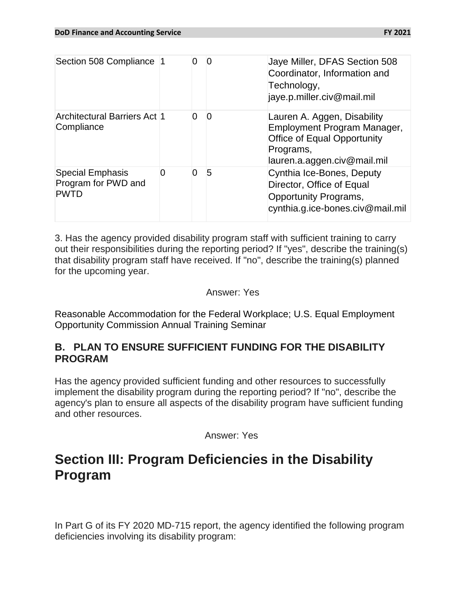| FY 2021 |  |
|---------|--|
|---------|--|

| Section 508 Compliance 1                                      |   |   |   | Jaye Miller, DFAS Section 508<br>Coordinator, Information and<br>Technology,<br>jaye.p.miller.civ@mail.mil                                   |
|---------------------------------------------------------------|---|---|---|----------------------------------------------------------------------------------------------------------------------------------------------|
| <b>Architectural Barriers Act 1</b><br>Compliance             |   | 0 | 0 | Lauren A. Aggen, Disability<br>Employment Program Manager,<br><b>Office of Equal Opportunity</b><br>Programs,<br>lauren.a.aggen.civ@mail.mil |
| <b>Special Emphasis</b><br>Program for PWD and<br><b>PWTD</b> | 0 | 0 | 5 | Cynthia Ice-Bones, Deputy<br>Director, Office of Equal<br>Opportunity Programs,<br>cynthia.g.ice-bones.civ@mail.mil                          |

3. Has the agency provided disability program staff with sufficient training to carry out their responsibilities during the reporting period? If "yes", describe the training(s) that disability program staff have received. If "no", describe the training(s) planned for the upcoming year.

#### Answer: Yes

Reasonable Accommodation for the Federal Workplace; U.S. Equal Employment Opportunity Commission Annual Training Seminar

## **B. PLAN TO ENSURE SUFFICIENT FUNDING FOR THE DISABILITY PROGRAM**

Has the agency provided sufficient funding and other resources to successfully implement the disability program during the reporting period? If "no", describe the agency's plan to ensure all aspects of the disability program have sufficient funding and other resources.

Answer: Yes

## **Section III: Program Deficiencies in the Disability Program**

In Part G of its FY 2020 MD-715 report, the agency identified the following program deficiencies involving its disability program: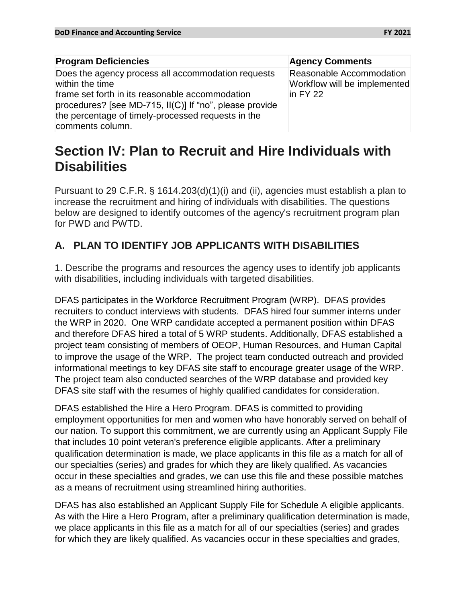| <b>Program Deficiencies</b>                                                                                                                                                                                                                                   | <b>Agency Comments</b>                                                              |
|---------------------------------------------------------------------------------------------------------------------------------------------------------------------------------------------------------------------------------------------------------------|-------------------------------------------------------------------------------------|
| Does the agency process all accommodation requests<br>within the time<br>frame set forth in its reasonable accommodation<br>procedures? [see MD-715, II(C)] If "no", please provide<br>the percentage of timely-processed requests in the<br>comments column. | Reasonable Accommodation<br>Workflow will be implemented<br>$\overline{P}$ in FY 22 |

# **Section IV: Plan to Recruit and Hire Individuals with Disabilities**

Pursuant to 29 C.F.R. § 1614.203(d)(1)(i) and (ii), agencies must establish a plan to increase the recruitment and hiring of individuals with disabilities. The questions below are designed to identify outcomes of the agency's recruitment program plan for PWD and PWTD.

## **A. PLAN TO IDENTIFY JOB APPLICANTS WITH DISABILITIES**

1. Describe the programs and resources the agency uses to identify job applicants with disabilities, including individuals with targeted disabilities.

DFAS participates in the Workforce Recruitment Program (WRP). DFAS provides recruiters to conduct interviews with students. DFAS hired four summer interns under the WRP in 2020. One WRP candidate accepted a permanent position within DFAS and therefore DFAS hired a total of 5 WRP students. Additionally, DFAS established a project team consisting of members of OEOP, Human Resources, and Human Capital to improve the usage of the WRP. The project team conducted outreach and provided informational meetings to key DFAS site staff to encourage greater usage of the WRP. The project team also conducted searches of the WRP database and provided key DFAS site staff with the resumes of highly qualified candidates for consideration.

DFAS established the Hire a Hero Program. DFAS is committed to providing employment opportunities for men and women who have honorably served on behalf of our nation. To support this commitment, we are currently using an Applicant Supply File that includes 10 point veteran's preference eligible applicants. After a preliminary qualification determination is made, we place applicants in this file as a match for all of our specialties (series) and grades for which they are likely qualified. As vacancies occur in these specialties and grades, we can use this file and these possible matches as a means of recruitment using streamlined hiring authorities.

DFAS has also established an Applicant Supply File for Schedule A eligible applicants. As with the Hire a Hero Program, after a preliminary qualification determination is made, we place applicants in this file as a match for all of our specialties (series) and grades for which they are likely qualified. As vacancies occur in these specialties and grades,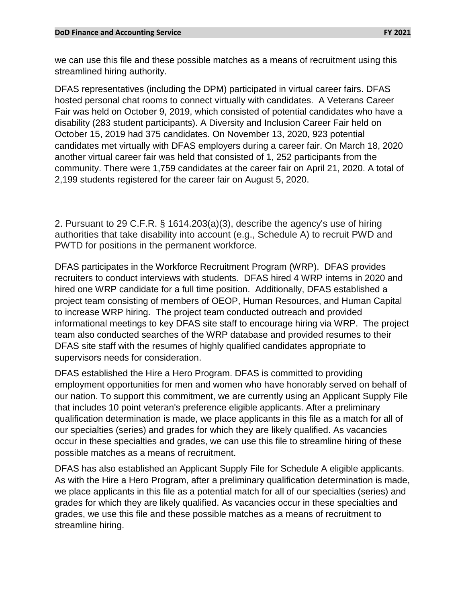we can use this file and these possible matches as a means of recruitment using this streamlined hiring authority.

DFAS representatives (including the DPM) participated in virtual career fairs. DFAS hosted personal chat rooms to connect virtually with candidates. A Veterans Career Fair was held on October 9, 2019, which consisted of potential candidates who have a disability (283 student participants). A Diversity and Inclusion Career Fair held on October 15, 2019 had 375 candidates. On November 13, 2020, 923 potential candidates met virtually with DFAS employers during a career fair. On March 18, 2020 another virtual career fair was held that consisted of 1, 252 participants from the community. There were 1,759 candidates at the career fair on April 21, 2020. A total of 2,199 students registered for the career fair on August 5, 2020.

2. Pursuant to 29 C.F.R. § 1614.203(a)(3), describe the agency's use of hiring authorities that take disability into account (e.g., Schedule A) to recruit PWD and PWTD for positions in the permanent workforce.

DFAS participates in the Workforce Recruitment Program (WRP). DFAS provides recruiters to conduct interviews with students. DFAS hired 4 WRP interns in 2020 and hired one WRP candidate for a full time position. Additionally, DFAS established a project team consisting of members of OEOP, Human Resources, and Human Capital to increase WRP hiring. The project team conducted outreach and provided informational meetings to key DFAS site staff to encourage hiring via WRP. The project team also conducted searches of the WRP database and provided resumes to their DFAS site staff with the resumes of highly qualified candidates appropriate to supervisors needs for consideration.

DFAS established the Hire a Hero Program. DFAS is committed to providing employment opportunities for men and women who have honorably served on behalf of our nation. To support this commitment, we are currently using an Applicant Supply File that includes 10 point veteran's preference eligible applicants. After a preliminary qualification determination is made, we place applicants in this file as a match for all of our specialties (series) and grades for which they are likely qualified. As vacancies occur in these specialties and grades, we can use this file to streamline hiring of these possible matches as a means of recruitment.

DFAS has also established an Applicant Supply File for Schedule A eligible applicants. As with the Hire a Hero Program, after a preliminary qualification determination is made, we place applicants in this file as a potential match for all of our specialties (series) and grades for which they are likely qualified. As vacancies occur in these specialties and grades, we use this file and these possible matches as a means of recruitment to streamline hiring.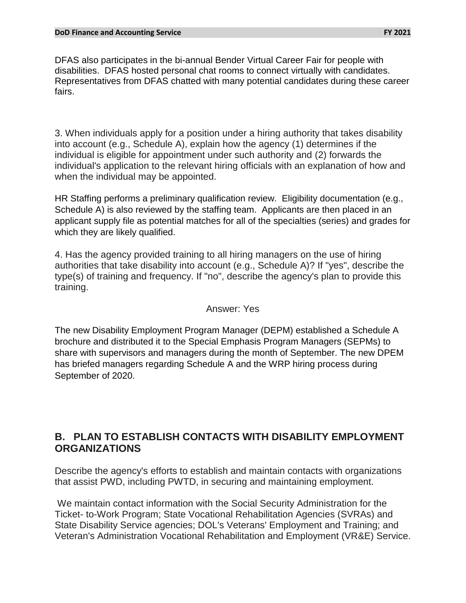DFAS also participates in the bi-annual Bender Virtual Career Fair for people with disabilities. DFAS hosted personal chat rooms to connect virtually with candidates. Representatives from DFAS chatted with many potential candidates during these career fairs.

3. When individuals apply for a position under a hiring authority that takes disability into account (e.g., Schedule A), explain how the agency (1) determines if the individual is eligible for appointment under such authority and (2) forwards the individual's application to the relevant hiring officials with an explanation of how and when the individual may be appointed.

HR Staffing performs a preliminary qualification review. Eligibility documentation (e.g., Schedule A) is also reviewed by the staffing team. Applicants are then placed in an applicant supply file as potential matches for all of the specialties (series) and grades for which they are likely qualified.

4. Has the agency provided training to all hiring managers on the use of hiring authorities that take disability into account (e.g., Schedule A)? If "yes", describe the type(s) of training and frequency. If "no", describe the agency's plan to provide this training.

#### Answer: Yes

The new Disability Employment Program Manager (DEPM) established a Schedule A brochure and distributed it to the Special Emphasis Program Managers (SEPMs) to share with supervisors and managers during the month of September. The new DPEM has briefed managers regarding Schedule A and the WRP hiring process during September of 2020.

## **B. PLAN TO ESTABLISH CONTACTS WITH DISABILITY EMPLOYMENT ORGANIZATIONS**

Describe the agency's efforts to establish and maintain contacts with organizations that assist PWD, including PWTD, in securing and maintaining employment.

We maintain contact information with the Social Security Administration for the Ticket- to-Work Program; State Vocational Rehabilitation Agencies (SVRAs) and State Disability Service agencies; DOL's Veterans' Employment and Training; and Veteran's Administration Vocational Rehabilitation and Employment (VR&E) Service.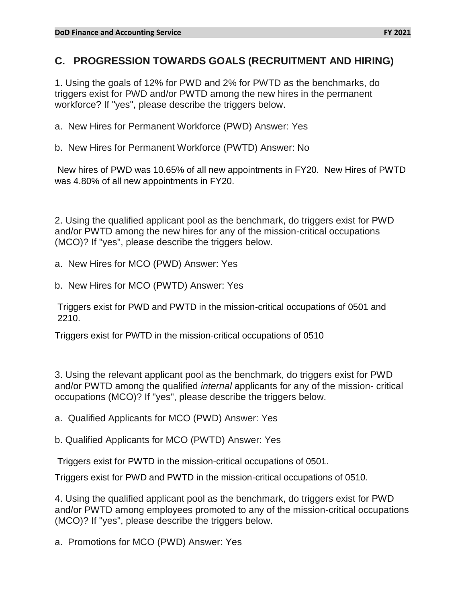## **C. PROGRESSION TOWARDS GOALS (RECRUITMENT AND HIRING)**

1. Using the goals of 12% for PWD and 2% for PWTD as the benchmarks, do triggers exist for PWD and/or PWTD among the new hires in the permanent workforce? If "yes", please describe the triggers below.

a. New Hires for Permanent Workforce (PWD) Answer: Yes

b. New Hires for Permanent Workforce (PWTD) Answer: No

New hires of PWD was 10.65% of all new appointments in FY20. New Hires of PWTD was 4.80% of all new appointments in FY20.

2. Using the qualified applicant pool as the benchmark, do triggers exist for PWD and/or PWTD among the new hires for any of the mission-critical occupations (MCO)? If "yes", please describe the triggers below.

a. New Hires for MCO (PWD) Answer: Yes

b. New Hires for MCO (PWTD) Answer: Yes

Triggers exist for PWD and PWTD in the mission-critical occupations of 0501 and 2210.

Triggers exist for PWTD in the mission-critical occupations of 0510

3. Using the relevant applicant pool as the benchmark, do triggers exist for PWD and/or PWTD among the qualified *internal* applicants for any of the mission- critical occupations (MCO)? If "yes", please describe the triggers below.

a. Qualified Applicants for MCO (PWD) Answer: Yes

b. Qualified Applicants for MCO (PWTD) Answer: Yes

Triggers exist for PWTD in the mission-critical occupations of 0501.

Triggers exist for PWD and PWTD in the mission-critical occupations of 0510.

4. Using the qualified applicant pool as the benchmark, do triggers exist for PWD and/or PWTD among employees promoted to any of the mission-critical occupations (MCO)? If "yes", please describe the triggers below.

a. Promotions for MCO (PWD) Answer: Yes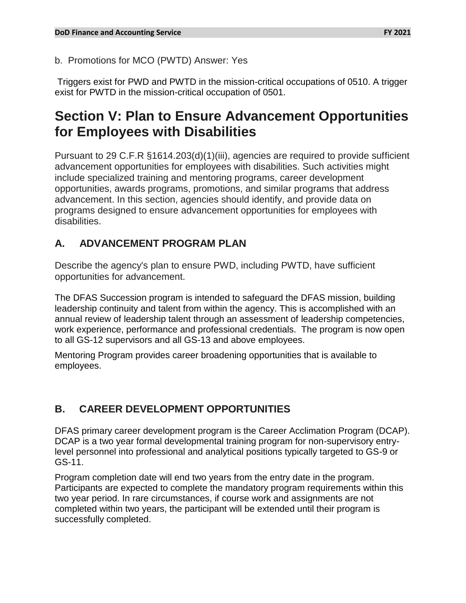b. Promotions for MCO (PWTD) Answer: Yes

Triggers exist for PWD and PWTD in the mission-critical occupations of 0510. A trigger exist for PWTD in the mission-critical occupation of 0501.

# **Section V: Plan to Ensure Advancement Opportunities for Employees with Disabilities**

Pursuant to 29 C.F.R §1614.203(d)(1)(iii), agencies are required to provide sufficient advancement opportunities for employees with disabilities. Such activities might include specialized training and mentoring programs, career development opportunities, awards programs, promotions, and similar programs that address advancement. In this section, agencies should identify, and provide data on programs designed to ensure advancement opportunities for employees with disabilities.

## **A. ADVANCEMENT PROGRAM PLAN**

Describe the agency's plan to ensure PWD, including PWTD, have sufficient opportunities for advancement.

The DFAS Succession program is intended to safeguard the DFAS mission, building leadership continuity and talent from within the agency. This is accomplished with an annual review of leadership talent through an assessment of leadership competencies, work experience, performance and professional credentials. The program is now open to all GS-12 supervisors and all GS-13 and above employees.

Mentoring Program provides career broadening opportunities that is available to employees.

## **B. CAREER DEVELOPMENT OPPORTUNITIES**

DFAS primary career development program is the Career Acclimation Program (DCAP). DCAP is a two year formal developmental training program for non-supervisory entrylevel personnel into professional and analytical positions typically targeted to GS-9 or GS-11.

Program completion date will end two years from the entry date in the program. Participants are expected to complete the mandatory program requirements within this two year period. In rare circumstances, if course work and assignments are not completed within two years, the participant will be extended until their program is successfully completed.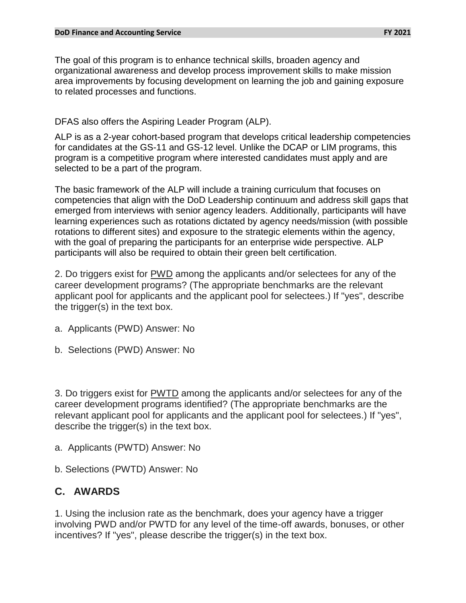#### **DoD Finance and Accounting Service FY 2021**

The goal of this program is to enhance technical skills, broaden agency and organizational awareness and develop process improvement skills to make mission area improvements by focusing development on learning the job and gaining exposure to related processes and functions.

#### DFAS also offers the Aspiring Leader Program (ALP).

ALP is as a 2-year cohort-based program that develops critical leadership competencies for candidates at the GS-11 and GS-12 level. Unlike the DCAP or LIM programs, this program is a competitive program where interested candidates must apply and are selected to be a part of the program.

The basic framework of the ALP will include a training curriculum that focuses on competencies that align with the DoD Leadership continuum and address skill gaps that emerged from interviews with senior agency leaders. Additionally, participants will have learning experiences such as rotations dictated by agency needs/mission (with possible rotations to different sites) and exposure to the strategic elements within the agency, with the goal of preparing the participants for an enterprise wide perspective. ALP participants will also be required to obtain their green belt certification.

2. Do triggers exist for PWD among the applicants and/or selectees for any of the career development programs? (The appropriate benchmarks are the relevant applicant pool for applicants and the applicant pool for selectees.) If "yes", describe the trigger(s) in the text box.

- a. Applicants (PWD) Answer: No
- b. Selections (PWD) Answer: No

3. Do triggers exist for PWTD among the applicants and/or selectees for any of the career development programs identified? (The appropriate benchmarks are the relevant applicant pool for applicants and the applicant pool for selectees.) If "yes", describe the trigger(s) in the text box.

- a. Applicants (PWTD) Answer: No
- b. Selections (PWTD) Answer: No

## **C. AWARDS**

1. Using the inclusion rate as the benchmark, does your agency have a trigger involving PWD and/or PWTD for any level of the time-off awards, bonuses, or other incentives? If "yes", please describe the trigger(s) in the text box.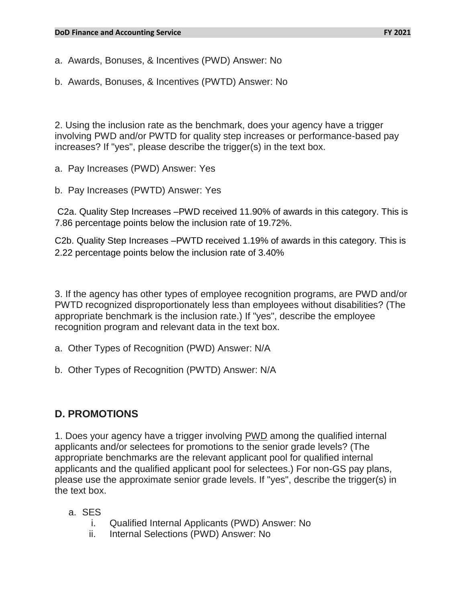#### **DoD Finance and Accounting Service FY 2021**

a. Awards, Bonuses, & Incentives (PWD) Answer: No

b. Awards, Bonuses, & Incentives (PWTD) Answer: No

2. Using the inclusion rate as the benchmark, does your agency have a trigger involving PWD and/or PWTD for quality step increases or performance-based pay increases? If "yes", please describe the trigger(s) in the text box.

- a. Pay Increases (PWD) Answer: Yes
- b. Pay Increases (PWTD) Answer: Yes

C2a. Quality Step Increases –PWD received 11.90% of awards in this category. This is 7.86 percentage points below the inclusion rate of 19.72%.

C2b. Quality Step Increases –PWTD received 1.19% of awards in this category. This is 2.22 percentage points below the inclusion rate of 3.40%

3. If the agency has other types of employee recognition programs, are PWD and/or PWTD recognized disproportionately less than employees without disabilities? (The appropriate benchmark is the inclusion rate.) If "yes", describe the employee recognition program and relevant data in the text box.

- a. Other Types of Recognition (PWD) Answer: N/A
- b. Other Types of Recognition (PWTD) Answer: N/A

## **D. PROMOTIONS**

1. Does your agency have a trigger involving PWD among the qualified internal applicants and/or selectees for promotions to the senior grade levels? (The appropriate benchmarks are the relevant applicant pool for qualified internal applicants and the qualified applicant pool for selectees.) For non-GS pay plans, please use the approximate senior grade levels. If "yes", describe the trigger(s) in the text box.

- a. SES
	- i. Qualified Internal Applicants (PWD) Answer: No
	- ii. Internal Selections (PWD) Answer: No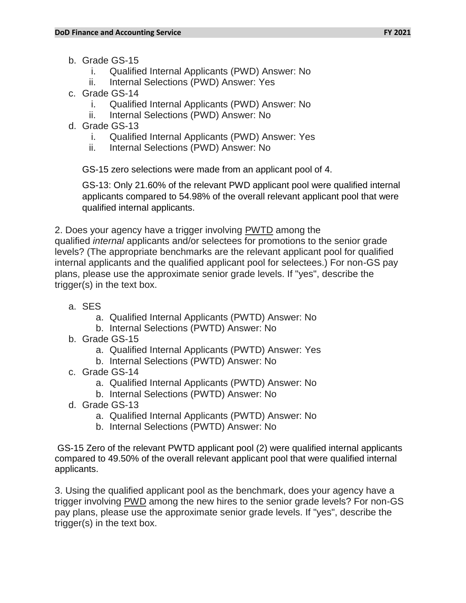- b. Grade GS-15
	- i. Qualified Internal Applicants (PWD) Answer: No
	- ii. Internal Selections (PWD) Answer: Yes
- c. Grade GS-14
	- i. Qualified Internal Applicants (PWD) Answer: No
	- ii. Internal Selections (PWD) Answer: No
- d. Grade GS-13
	- i. Qualified Internal Applicants (PWD) Answer: Yes
	- ii. Internal Selections (PWD) Answer: No

GS-15 zero selections were made from an applicant pool of 4.

GS-13: Only 21.60% of the relevant PWD applicant pool were qualified internal applicants compared to 54.98% of the overall relevant applicant pool that were qualified internal applicants.

2. Does your agency have a trigger involving PWTD among the

qualified *internal* applicants and/or selectees for promotions to the senior grade levels? (The appropriate benchmarks are the relevant applicant pool for qualified internal applicants and the qualified applicant pool for selectees.) For non-GS pay plans, please use the approximate senior grade levels. If "yes", describe the trigger(s) in the text box.

- a. SES
	- a. Qualified Internal Applicants (PWTD) Answer: No
	- b. Internal Selections (PWTD) Answer: No
- b. Grade GS-15
	- a. Qualified Internal Applicants (PWTD) Answer: Yes
	- b. Internal Selections (PWTD) Answer: No
- c. Grade GS-14
	- a. Qualified Internal Applicants (PWTD) Answer: No
	- b. Internal Selections (PWTD) Answer: No
- d. Grade GS-13
	- a. Qualified Internal Applicants (PWTD) Answer: No
	- b. Internal Selections (PWTD) Answer: No

GS-15 Zero of the relevant PWTD applicant pool (2) were qualified internal applicants compared to 49.50% of the overall relevant applicant pool that were qualified internal applicants.

3. Using the qualified applicant pool as the benchmark, does your agency have a trigger involving PWD among the new hires to the senior grade levels? For non-GS pay plans, please use the approximate senior grade levels. If "yes", describe the trigger(s) in the text box.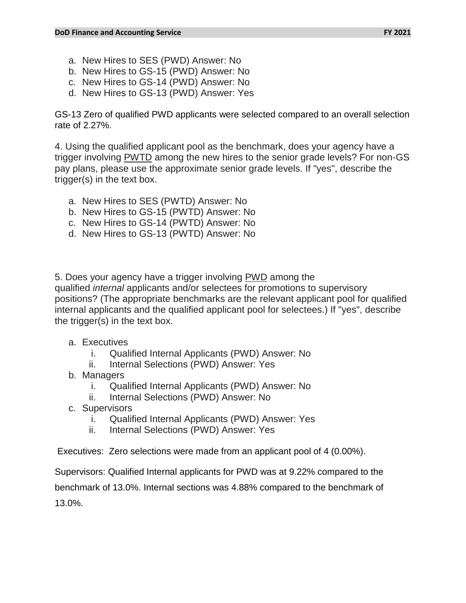- a. New Hires to SES (PWD) Answer: No
- b. New Hires to GS-15 (PWD) Answer: No
- c. New Hires to GS-14 (PWD) Answer: No
- d. New Hires to GS-13 (PWD) Answer: Yes

GS-13 Zero of qualified PWD applicants were selected compared to an overall selection rate of 2.27%.

4. Using the qualified applicant pool as the benchmark, does your agency have a trigger involving PWTD among the new hires to the senior grade levels? For non-GS pay plans, please use the approximate senior grade levels. If "yes", describe the trigger(s) in the text box.

- a. New Hires to SES (PWTD) Answer: No
- b. New Hires to GS-15 (PWTD) Answer: No
- c. New Hires to GS-14 (PWTD) Answer: No
- d. New Hires to GS-13 (PWTD) Answer: No

5. Does your agency have a trigger involving PWD among the

qualified *internal* applicants and/or selectees for promotions to supervisory positions? (The appropriate benchmarks are the relevant applicant pool for qualified internal applicants and the qualified applicant pool for selectees.) If "yes", describe the trigger(s) in the text box.

- a. Executives
	- i. Qualified Internal Applicants (PWD) Answer: No
	- ii. Internal Selections (PWD) Answer: Yes
- b. Managers
	- i. Qualified Internal Applicants (PWD) Answer: No
	- ii. Internal Selections (PWD) Answer: No
- c. Supervisors
	- i. Qualified Internal Applicants (PWD) Answer: Yes
	- ii. Internal Selections (PWD) Answer: Yes

Executives: Zero selections were made from an applicant pool of 4 (0.00%).

Supervisors: Qualified Internal applicants for PWD was at 9.22% compared to the benchmark of 13.0%. Internal sections was 4.88% compared to the benchmark of 13.0%.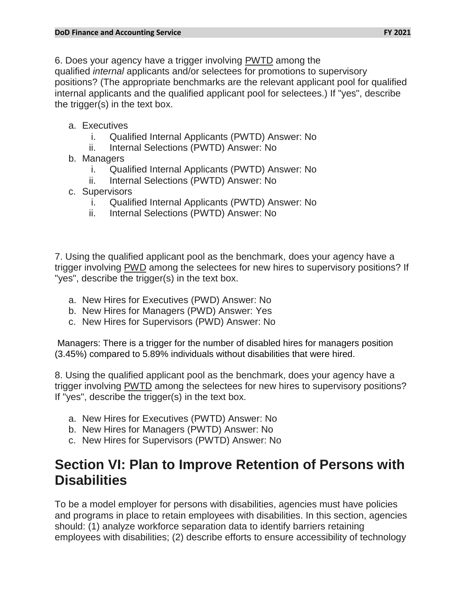6. Does your agency have a trigger involving PWTD among the qualified *internal* applicants and/or selectees for promotions to supervisory positions? (The appropriate benchmarks are the relevant applicant pool for qualified internal applicants and the qualified applicant pool for selectees.) If "yes", describe the trigger(s) in the text box.

- a. Executives
	- i. Qualified Internal Applicants (PWTD) Answer: No
	- ii. Internal Selections (PWTD) Answer: No
- b. Managers
	- i. Qualified Internal Applicants (PWTD) Answer: No
	- ii. Internal Selections (PWTD) Answer: No
- c. Supervisors
	- i. Qualified Internal Applicants (PWTD) Answer: No
	- ii. Internal Selections (PWTD) Answer: No

7. Using the qualified applicant pool as the benchmark, does your agency have a trigger involving PWD among the selectees for new hires to supervisory positions? If "yes", describe the trigger(s) in the text box.

- a. New Hires for Executives (PWD) Answer: No
- b. New Hires for Managers (PWD) Answer: Yes
- c. New Hires for Supervisors (PWD) Answer: No

Managers: There is a trigger for the number of disabled hires for managers position (3.45%) compared to 5.89% individuals without disabilities that were hired.

8. Using the qualified applicant pool as the benchmark, does your agency have a trigger involving PWTD among the selectees for new hires to supervisory positions? If "yes", describe the trigger(s) in the text box.

- a. New Hires for Executives (PWTD) Answer: No
- b. New Hires for Managers (PWTD) Answer: No
- c. New Hires for Supervisors (PWTD) Answer: No

# **Section VI: Plan to Improve Retention of Persons with Disabilities**

To be a model employer for persons with disabilities, agencies must have policies and programs in place to retain employees with disabilities. In this section, agencies should: (1) analyze workforce separation data to identify barriers retaining employees with disabilities; (2) describe efforts to ensure accessibility of technology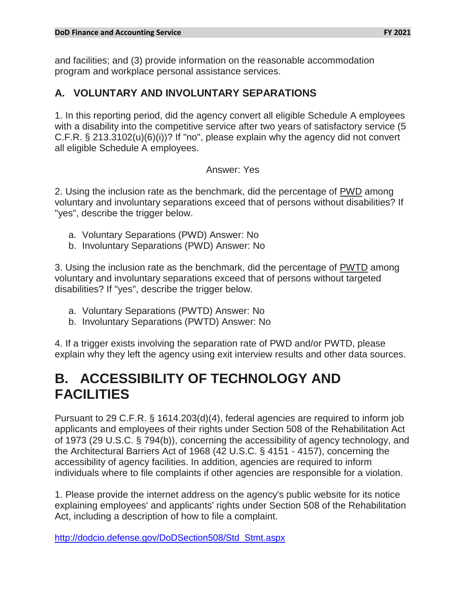and facilities; and (3) provide information on the reasonable accommodation program and workplace personal assistance services.

## **A. VOLUNTARY AND INVOLUNTARY SEPARATIONS**

1. In this reporting period, did the agency convert all eligible Schedule A employees with a disability into the competitive service after two years of satisfactory service (5 C.F.R. § 213.3102(u)(6)(i))? If "no", please explain why the agency did not convert all eligible Schedule A employees.

### Answer: Yes

2. Using the inclusion rate as the benchmark, did the percentage of PWD among voluntary and involuntary separations exceed that of persons without disabilities? If "yes", describe the trigger below.

- a. Voluntary Separations (PWD) Answer: No
- b. Involuntary Separations (PWD) Answer: No

3. Using the inclusion rate as the benchmark, did the percentage of PWTD among voluntary and involuntary separations exceed that of persons without targeted disabilities? If "yes", describe the trigger below.

- a. Voluntary Separations (PWTD) Answer: No
- b. Involuntary Separations (PWTD) Answer: No

4. If a trigger exists involving the separation rate of PWD and/or PWTD, please explain why they left the agency using exit interview results and other data sources.

# **B. ACCESSIBILITY OF TECHNOLOGY AND FACILITIES**

Pursuant to 29 C.F.R. § 1614.203(d)(4), federal agencies are required to inform job applicants and employees of their rights under Section 508 of the Rehabilitation Act of 1973 (29 U.S.C. § 794(b)), concerning the accessibility of agency technology, and the Architectural Barriers Act of 1968 (42 U.S.C. § 4151 - 4157), concerning the accessibility of agency facilities. In addition, agencies are required to inform individuals where to file complaints if other agencies are responsible for a violation.

1. Please provide the internet address on the agency's public website for its notice explaining employees' and applicants' rights under Section 508 of the Rehabilitation Act, including a description of how to file a complaint.

[http://dodcio.defense.gov/DoDSection508/Std\\_Stmt.aspx](http://dodcio.defense.gov/DoDSection508/Std_Stmt.aspx)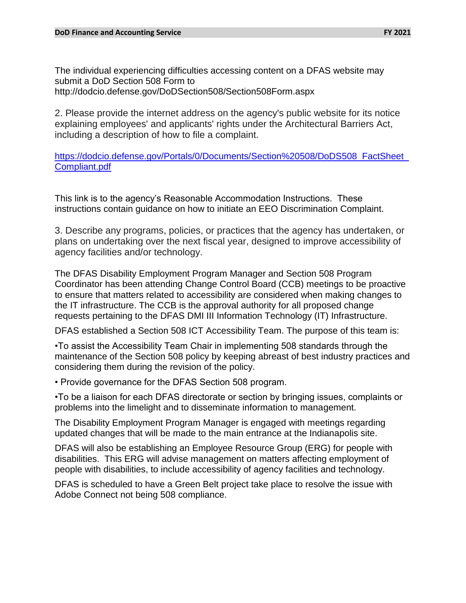The individual experiencing difficulties accessing content on a DFAS website may submit a DoD Section 508 Form to http://dodcio.defense.gov/DoDSection508/Section508Form.aspx

2. Please provide the internet address on the agency's public website for its notice explaining employees' and applicants' rights under the Architectural Barriers Act, including a description of how to file a complaint.

https://dodcio.defense.gov/Portals/0/Documents/Section%20508/DoDS508\_FactSheet [Compliant.pdf](https://dodcio.defense.gov/Portals/0/Documents/Section%20508/DoDS508_FactSheet_Compliant.pdf)

This link is to the agency's Reasonable Accommodation Instructions. These instructions contain guidance on how to initiate an EEO Discrimination Complaint.

3. Describe any programs, policies, or practices that the agency has undertaken, or plans on undertaking over the next fiscal year, designed to improve accessibility of agency facilities and/or technology.

The DFAS Disability Employment Program Manager and Section 508 Program Coordinator has been attending Change Control Board (CCB) meetings to be proactive to ensure that matters related to accessibility are considered when making changes to the IT infrastructure. The CCB is the approval authority for all proposed change requests pertaining to the DFAS DMI III Information Technology (IT) Infrastructure.

DFAS established a Section 508 ICT Accessibility Team. The purpose of this team is:

•To assist the Accessibility Team Chair in implementing 508 standards through the maintenance of the Section 508 policy by keeping abreast of best industry practices and considering them during the revision of the policy.

• Provide governance for the DFAS Section 508 program.

•To be a liaison for each DFAS directorate or section by bringing issues, complaints or problems into the limelight and to disseminate information to management.

The Disability Employment Program Manager is engaged with meetings regarding updated changes that will be made to the main entrance at the Indianapolis site.

DFAS will also be establishing an Employee Resource Group (ERG) for people with disabilities. This ERG will advise management on matters affecting employment of people with disabilities, to include accessibility of agency facilities and technology.

DFAS is scheduled to have a Green Belt project take place to resolve the issue with Adobe Connect not being 508 compliance.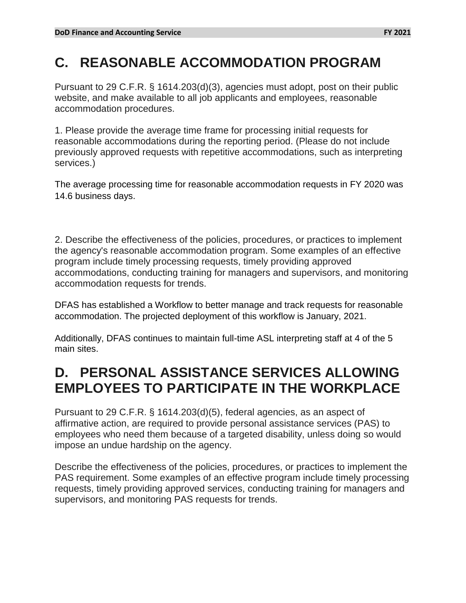# **C. REASONABLE ACCOMMODATION PROGRAM**

Pursuant to 29 C.F.R. § 1614.203(d)(3), agencies must adopt, post on their public website, and make available to all job applicants and employees, reasonable accommodation procedures.

1. Please provide the average time frame for processing initial requests for reasonable accommodations during the reporting period. (Please do not include previously approved requests with repetitive accommodations, such as interpreting services.)

The average processing time for reasonable accommodation requests in FY 2020 was 14.6 business days.

2. Describe the effectiveness of the policies, procedures, or practices to implement the agency's reasonable accommodation program. Some examples of an effective program include timely processing requests, timely providing approved accommodations, conducting training for managers and supervisors, and monitoring accommodation requests for trends.

DFAS has established a Workflow to better manage and track requests for reasonable accommodation. The projected deployment of this workflow is January, 2021.

Additionally, DFAS continues to maintain full-time ASL interpreting staff at 4 of the 5 main sites.

# **D. PERSONAL ASSISTANCE SERVICES ALLOWING EMPLOYEES TO PARTICIPATE IN THE WORKPLACE**

Pursuant to 29 C.F.R. § 1614.203(d)(5), federal agencies, as an aspect of affirmative action, are required to provide personal assistance services (PAS) to employees who need them because of a targeted disability, unless doing so would impose an undue hardship on the agency.

Describe the effectiveness of the policies, procedures, or practices to implement the PAS requirement. Some examples of an effective program include timely processing requests, timely providing approved services, conducting training for managers and supervisors, and monitoring PAS requests for trends.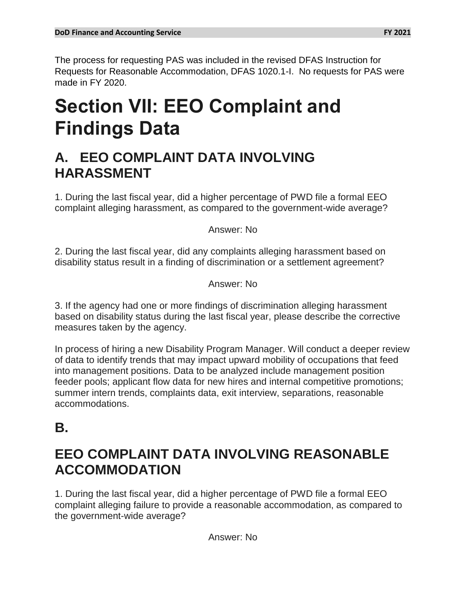# **Section VII: EEO Complaint and Findings Data**

# **A. EEO COMPLAINT DATA INVOLVING HARASSMENT**

1. During the last fiscal year, did a higher percentage of PWD file a formal EEO complaint alleging harassment, as compared to the government-wide average?

Answer: No

2. During the last fiscal year, did any complaints alleging harassment based on disability status result in a finding of discrimination or a settlement agreement?

Answer: No

3. If the agency had one or more findings of discrimination alleging harassment based on disability status during the last fiscal year, please describe the corrective measures taken by the agency.

In process of hiring a new Disability Program Manager. Will conduct a deeper review of data to identify trends that may impact upward mobility of occupations that feed into management positions. Data to be analyzed include management position feeder pools; applicant flow data for new hires and internal competitive promotions; summer intern trends, complaints data, exit interview, separations, reasonable accommodations.

# **B.**

# **EEO COMPLAINT DATA INVOLVING REASONABLE ACCOMMODATION**

1. During the last fiscal year, did a higher percentage of PWD file a formal EEO complaint alleging failure to provide a reasonable accommodation, as compared to the government-wide average?